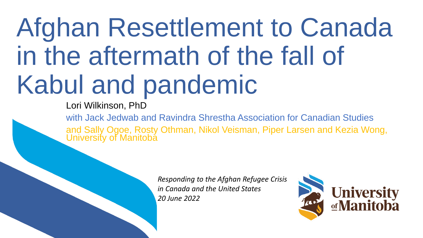# Afghan Resettlement to Canada in the aftermath of the fall of Kabul and pandemic

Lori Wilkinson, PhD

with Jack Jedwab and Ravindra Shrestha Association for Canadian Studies and Sally Ogoe, Rosty Othman, Nikol Veisman, Piper Larsen and Kezia Wong, University of Manitoba

> *Responding to the Afghan Refugee Crisis in Canada and the United States 20 June 2022*

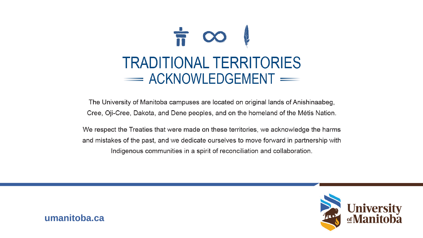

The University of Manitoba campuses are located on original lands of Anishinaabeg, Cree, Oji-Cree, Dakota, and Dene peoples, and on the homeland of the Métis Nation.

We respect the Treaties that were made on these territories, we acknowledge the harms and mistakes of the past, and we dedicate ourselves to move forward in partnership with Indigenous communities in a spirit of reconciliation and collaboration.



umanitoba.ca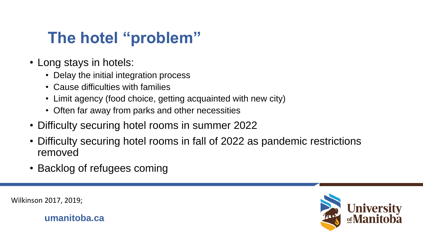# **The hotel "problem"**

- Long stays in hotels:
	- Delay the initial integration process
	- Cause difficulties with families
	- Limit agency (food choice, getting acquainted with new city)
	- Often far away from parks and other necessities
- Difficulty securing hotel rooms in summer 2022
- Difficulty securing hotel rooms in fall of 2022 as pandemic restrictions removed
- Backlog of refugees coming



Wilkinson 2017, 2019;

**umanitoba.ca**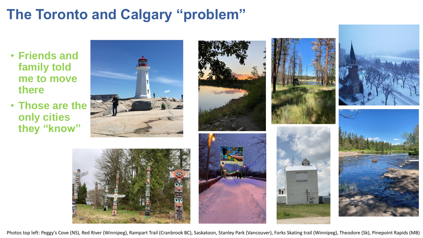## **The Toronto and Calgary "problem"**

- **Friends and family told me to move there**
- **Those are the only cities they "know"**











Photos top left: Peggy's Cove (NS), Red River (Winnipeg), Rampart Trail (Cranbrook BC), Saskatoon, Stanley Park (Vancouver), Forks Skating trail (Winnipeg), Theodore (Sk), Pinepoint Rapids (MB)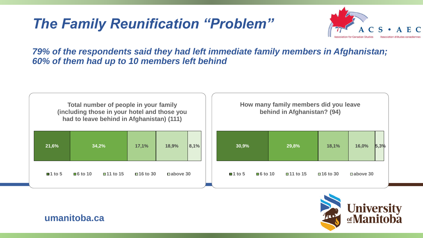### *The Family Reunification "Problem"*



*79% of the respondents said they had left immediate family members in Afghanistan; 60% of them had up to 10 members left behind*

| Total number of people in your family<br>(including those in your hotel and those you<br>had to leave behind in Afghanistan) (111) |                                                   |           |                   |      | How many family members did you leave<br>behind in Afghanistan? (94) |                        |                         |                         |                   |
|------------------------------------------------------------------------------------------------------------------------------------|---------------------------------------------------|-----------|-------------------|------|----------------------------------------------------------------------|------------------------|-------------------------|-------------------------|-------------------|
| 21,6%                                                                                                                              | 34,2%                                             | 17,1%     | 18,9%             | 8,1% | 30,9%                                                                |                        | 29,8%                   | 18,1%                   | 5,3%<br>16,0%     |
| $\blacksquare$ 1 to 5                                                                                                              | $\blacksquare$ 6 to 10<br>$\blacksquare$ 11 to 15 | ■16 to 30 | <b>□</b> above 30 |      | $\blacksquare$ 1 to 5                                                | $\blacksquare$ 6 to 10 | $\blacksquare$ 11 to 15 | $\blacksquare$ 16 to 30 | <b>□</b> above 30 |



**umanitoba.ca**